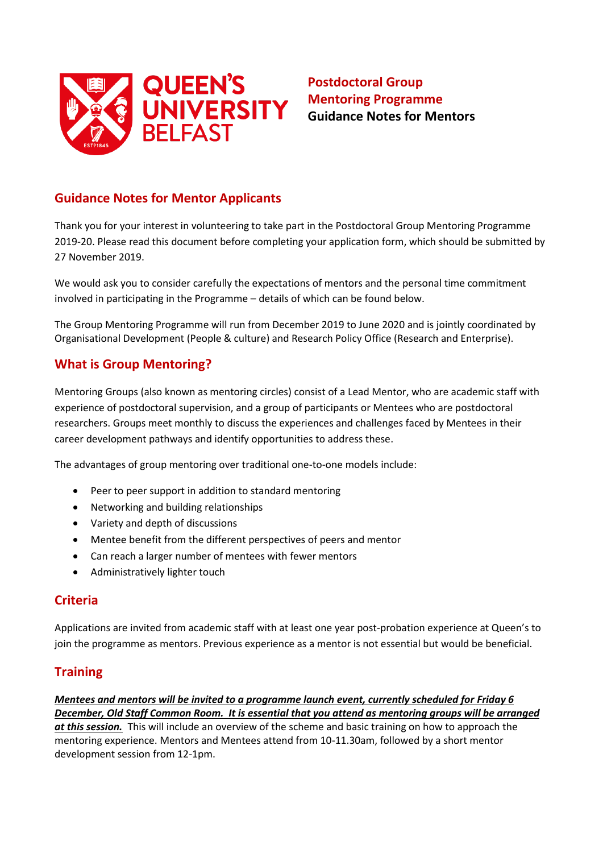

# **Postdoctoral Group Mentoring Programme Guidance Notes for Mentors**

## **Guidance Notes for Mentor Applicants**

Thank you for your interest in volunteering to take part in the Postdoctoral Group Mentoring Programme 2019-20. Please read this document before completing your application form, which should be submitted by 27 November 2019.

We would ask you to consider carefully the expectations of mentors and the personal time commitment involved in participating in the Programme – details of which can be found below.

The Group Mentoring Programme will run from December 2019 to June 2020 and is jointly coordinated by Organisational Development (People & culture) and Research Policy Office (Research and Enterprise).

### **What is Group Mentoring?**

Mentoring Groups (also known as mentoring circles) consist of a Lead Mentor, who are academic staff with experience of postdoctoral supervision, and a group of participants or Mentees who are postdoctoral researchers. Groups meet monthly to discuss the experiences and challenges faced by Mentees in their career development pathways and identify opportunities to address these.

The advantages of group mentoring over traditional one-to-one models include:

- Peer to peer support in addition to standard mentoring
- Networking and building relationships
- Variety and depth of discussions
- Mentee benefit from the different perspectives of peers and mentor
- Can reach a larger number of mentees with fewer mentors
- Administratively lighter touch

### **Criteria**

Applications are invited from academic staff with at least one year post-probation experience at Queen's to join the programme as mentors. Previous experience as a mentor is not essential but would be beneficial.

### **Training**

*Mentees and mentors will be invited to a programme launch event, currently scheduled for Friday 6 December, Old Staff Common Room. It is essential that you attend as mentoring groups will be arranged at this session.* This will include an overview of the scheme and basic training on how to approach the mentoring experience. Mentors and Mentees attend from 10-11.30am, followed by a short mentor development session from 12-1pm.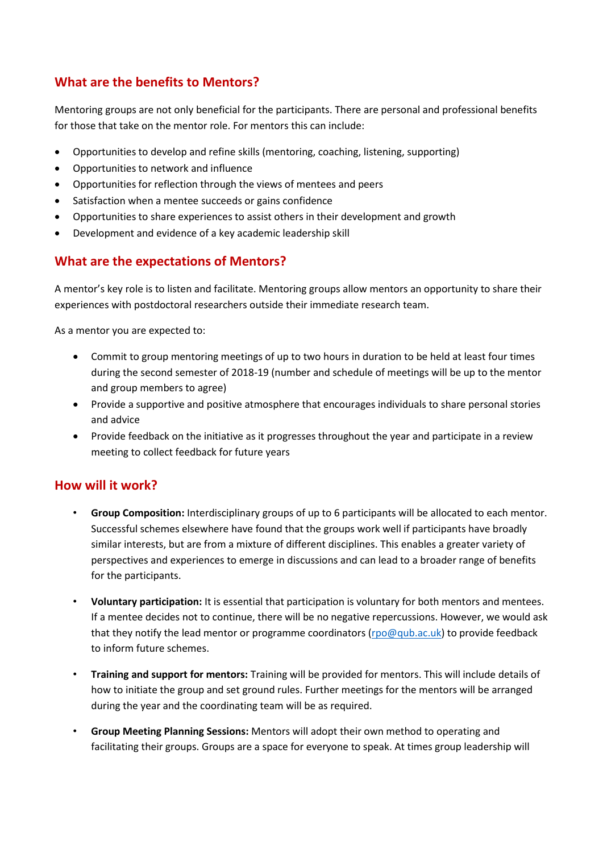## **What are the benefits to Mentors?**

Mentoring groups are not only beneficial for the participants. There are personal and professional benefits for those that take on the mentor role. For mentors this can include:

- Opportunities to develop and refine skills (mentoring, coaching, listening, supporting)
- Opportunities to network and influence
- Opportunities for reflection through the views of mentees and peers
- Satisfaction when a mentee succeeds or gains confidence
- Opportunities to share experiences to assist others in their development and growth
- Development and evidence of a key academic leadership skill

### **What are the expectations of Mentors?**

A mentor's key role is to listen and facilitate. Mentoring groups allow mentors an opportunity to share their experiences with postdoctoral researchers outside their immediate research team.

As a mentor you are expected to:

- Commit to group mentoring meetings of up to two hours in duration to be held at least four times during the second semester of 2018-19 (number and schedule of meetings will be up to the mentor and group members to agree)
- Provide a supportive and positive atmosphere that encourages individuals to share personal stories and advice
- Provide feedback on the initiative as it progresses throughout the year and participate in a review meeting to collect feedback for future years

#### **How will it work?**

- **Group Composition:** Interdisciplinary groups of up to 6 participants will be allocated to each mentor. Successful schemes elsewhere have found that the groups work well if participants have broadly similar interests, but are from a mixture of different disciplines. This enables a greater variety of perspectives and experiences to emerge in discussions and can lead to a broader range of benefits for the participants.
- **Voluntary participation:** It is essential that participation is voluntary for both mentors and mentees. If a mentee decides not to continue, there will be no negative repercussions. However, we would ask that they notify the lead mentor or programme coordinators [\(rpo@qub.ac.uk\)](mailto:rpo@qub.ac.uk) to provide feedback to inform future schemes.
- **Training and support for mentors:** Training will be provided for mentors. This will include details of how to initiate the group and set ground rules. Further meetings for the mentors will be arranged during the year and the coordinating team will be as required.
- **Group Meeting Planning Sessions:** Mentors will adopt their own method to operating and facilitating their groups. Groups are a space for everyone to speak. At times group leadership will